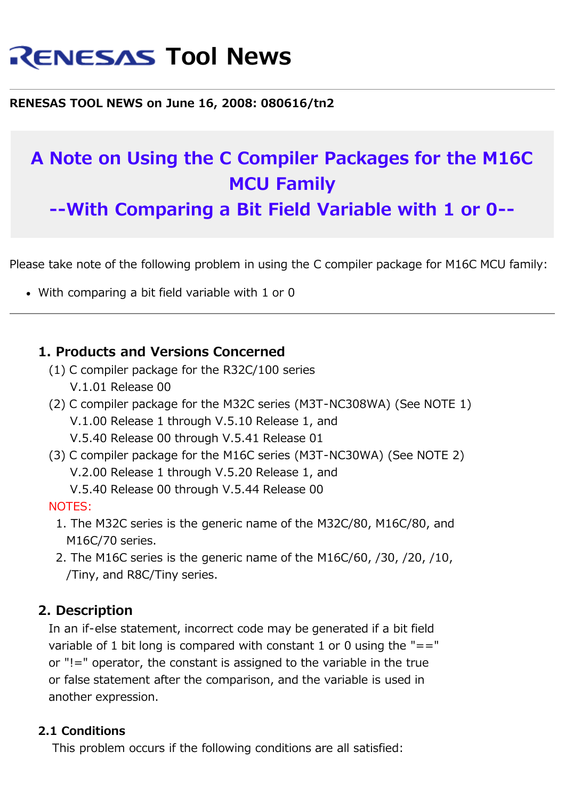# **RENESAS Tool News**

**RENESAS TOOL NEWS on June 16, 2008: 080616/tn2**

## **A Note on Using the C Compiler Packages for the M16C MCU Family**

**--With Comparing a Bit Field Variable with 1 or 0--**

Please take note of the following problem in using the C compiler package for M16C MCU family:

With comparing a bit field variable with 1 or 0

#### **1. Products and Versions Concerned**

- (1) C compiler package for the R32C/100 series V.1.01 Release 00
- (2) C compiler package for the M32C series (M3T-NC308WA) (See NOTE 1) V.1.00 Release 1 through V.5.10 Release 1, and V.5.40 Release 00 through V.5.41 Release 01
- (3) C compiler package for the M16C series (M3T-NC30WA) (See NOTE 2) V.2.00 Release 1 through V.5.20 Release 1, and V.5.40 Release 00 through V.5.44 Release 00

#### NOTES:

- 1. The M32C series is the generic name of the M32C/80, M16C/80, and M16C/70 series.
- 2. The M16C series is the generic name of the M16C/60, /30, /20, /10, /Tiny, and R8C/Tiny series.

#### **2. Description**

 In an if-else statement, incorrect code may be generated if a bit field variable of 1 bit long is compared with constant 1 or 0 using the  $"=="$  or "!=" operator, the constant is assigned to the variable in the true or false statement after the comparison, and the variable is used in another expression.

#### **2.1 Conditions**

This problem occurs if the following conditions are all satisfied: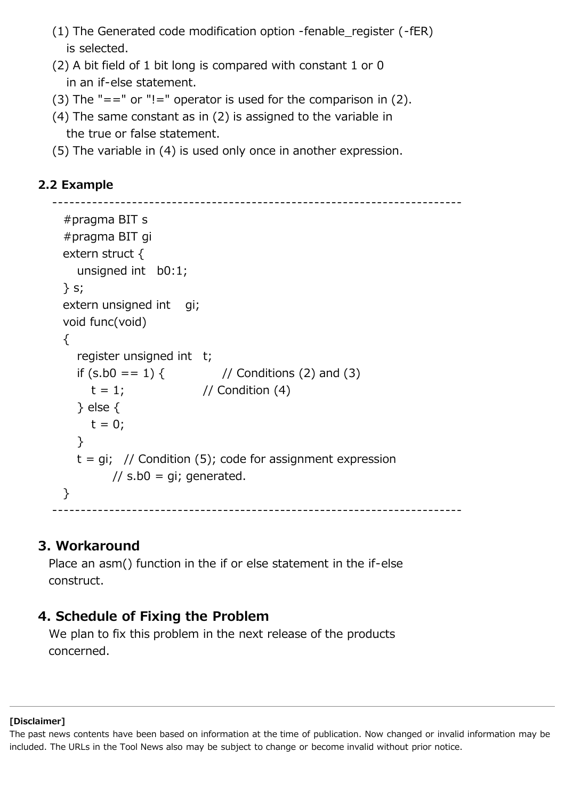- (1) The Generated code modification option -fenable\_register (-fER) is selected.
- (2) A bit field of 1 bit long is compared with constant 1 or 0 in an if-else statement.
- (3) The "==" or "!=" operator is used for the comparison in  $(2)$ .
- (4) The same constant as in (2) is assigned to the variable in the true or false statement.
- (5) The variable in (4) is used only once in another expression.

#### **2.2 Example**

```
 ------------------------------------------------------------------------
    #pragma BIT s
    #pragma BIT gi
    extern struct {
      unsigned int b0:1;
    } s;
   extern unsigned int gi;
    void func(void)
   \{register unsigned int t;
     if (s.b0 == 1) { // Conditions (2) and (3)
       t = 1; // Condition (4)
      } else {
       t = 0; }
     t = qi; // Condition (5); code for assignment expression
           // s.b0 = qi; generated.
    }
------------------------------------------------------------------------
```
#### **3. Workaround**

 Place an asm() function in the if or else statement in the if-else construct.

### **4. Schedule of Fixing the Problem**

 We plan to fix this problem in the next release of the products concerned.

#### **[Disclaimer]**

The past news contents have been based on information at the time of publication. Now changed or invalid information may be included. The URLs in the Tool News also may be subject to change or become invalid without prior notice.